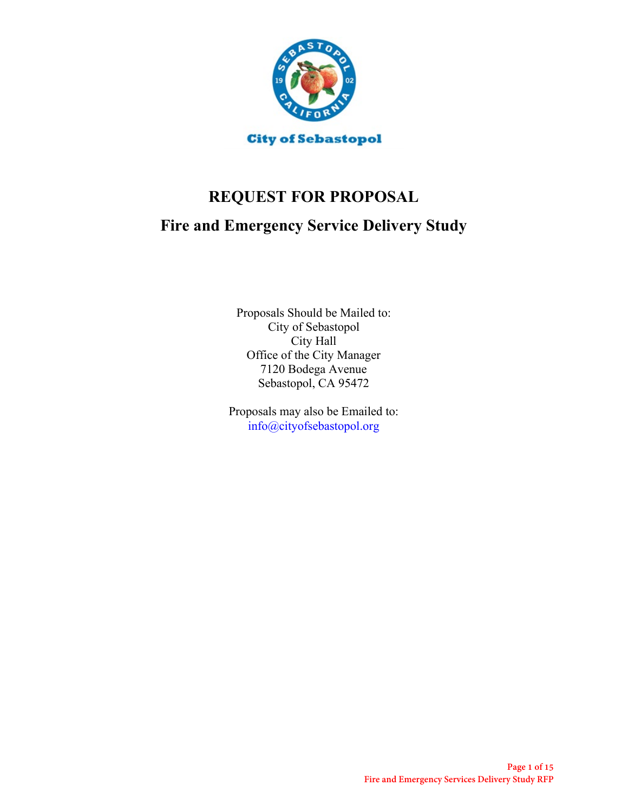

# **REQUEST FOR PROPOSAL**

# **Fire and Emergency Service Delivery Study**

Proposals Should be Mailed to: City of Sebastopol City Hall Office of the City Manager 7120 Bodega Avenue Sebastopol, CA 95472

Proposals may also be Emailed to: info@cityofsebastopol.org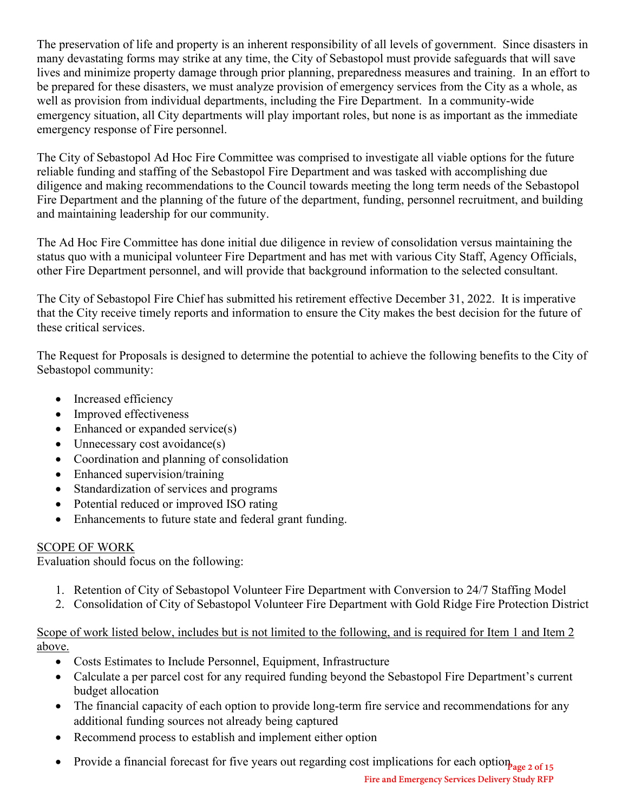The preservation of life and property is an inherent responsibility of all levels of government. Since disasters in many devastating forms may strike at any time, the City of Sebastopol must provide safeguards that will save lives and minimize property damage through prior planning, preparedness measures and training. In an effort to be prepared for these disasters, we must analyze provision of emergency services from the City as a whole, as well as provision from individual departments, including the Fire Department. In a community-wide emergency situation, all City departments will play important roles, but none is as important as the immediate emergency response of Fire personnel.

The City of Sebastopol Ad Hoc Fire Committee was comprised to investigate all viable options for the future reliable funding and staffing of the Sebastopol Fire Department and was tasked with accomplishing due diligence and making recommendations to the Council towards meeting the long term needs of the Sebastopol Fire Department and the planning of the future of the department, funding, personnel recruitment, and building and maintaining leadership for our community.

The Ad Hoc Fire Committee has done initial due diligence in review of consolidation versus maintaining the status quo with a municipal volunteer Fire Department and has met with various City Staff, Agency Officials, other Fire Department personnel, and will provide that background information to the selected consultant.

The City of Sebastopol Fire Chief has submitted his retirement effective December 31, 2022. It is imperative that the City receive timely reports and information to ensure the City makes the best decision for the future of these critical services.

The Request for Proposals is designed to determine the potential to achieve the following benefits to the City of Sebastopol community:

- Increased efficiency
- Improved effectiveness
- Enhanced or expanded service(s)
- Unnecessary cost avoidance(s)
- Coordination and planning of consolidation
- Enhanced supervision/training
- Standardization of services and programs
- Potential reduced or improved ISO rating
- Enhancements to future state and federal grant funding.

# SCOPE OF WORK

Evaluation should focus on the following:

- 1. Retention of City of Sebastopol Volunteer Fire Department with Conversion to 24/7 Staffing Model
- 2. Consolidation of City of Sebastopol Volunteer Fire Department with Gold Ridge Fire Protection District

## Scope of work listed below, includes but is not limited to the following, and is required for Item 1 and Item 2 above.

- Costs Estimates to Include Personnel, Equipment, Infrastructure
- Calculate a per parcel cost for any required funding beyond the Sebastopol Fire Department's current budget allocation
- The financial capacity of each option to provide long-term fire service and recommendations for any additional funding sources not already being captured
- Recommend process to establish and implement either option
- Provide a financial forecast for five years out regarding cost implications for each option <sub>Page 2 of 15</sub>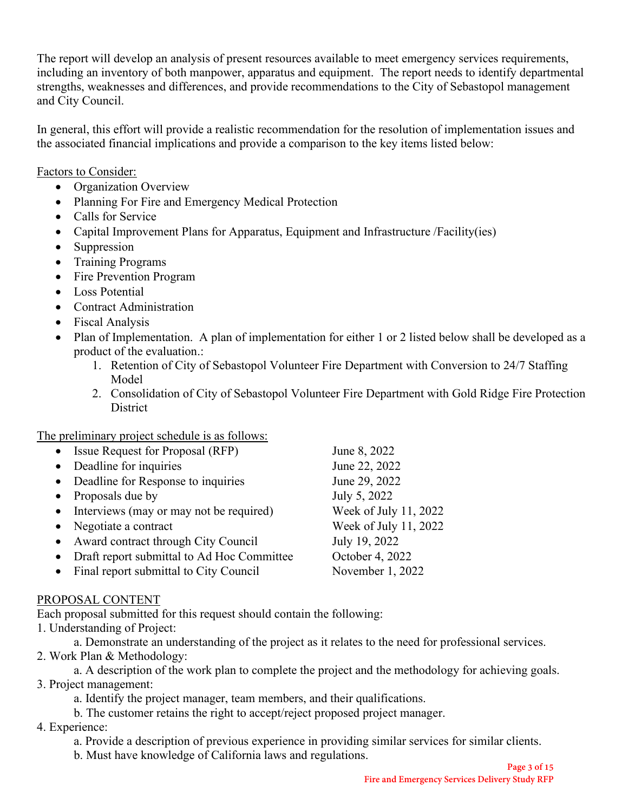The report will develop an analysis of present resources available to meet emergency services requirements, including an inventory of both manpower, apparatus and equipment. The report needs to identify departmental strengths, weaknesses and differences, and provide recommendations to the City of Sebastopol management and City Council.

In general, this effort will provide a realistic recommendation for the resolution of implementation issues and the associated financial implications and provide a comparison to the key items listed below:

Factors to Consider:

- Organization Overview
- Planning For Fire and Emergency Medical Protection
- Calls for Service
- Capital Improvement Plans for Apparatus, Equipment and Infrastructure /Facility(ies)
- Suppression
- Training Programs
- Fire Prevention Program
- Loss Potential
- Contract Administration
- Fiscal Analysis
- Plan of Implementation. A plan of implementation for either 1 or 2 listed below shall be developed as a product of the evaluation.:
	- 1. Retention of City of Sebastopol Volunteer Fire Department with Conversion to 24/7 Staffing Model
	- 2. Consolidation of City of Sebastopol Volunteer Fire Department with Gold Ridge Fire Protection **District**

The preliminary project schedule is as follows:

| • Issue Request for Proposal (RFP)         | June 8, 2022          |
|--------------------------------------------|-----------------------|
| Deadline for inquiries                     | June 22, 2022         |
| • Deadline for Response to inquiries       | June 29, 2022         |
| Proposals due by                           | July 5, 2022          |
| Interviews (may or may not be required)    | Week of July 11, 2022 |
| Negotiate a contract                       | Week of July 11, 2022 |
| Award contract through City Council        | July 19, 2022         |
| Draft report submittal to Ad Hoc Committee | October 4, 2022       |
| Final report submittal to City Council     | November 1, 2022      |
|                                            |                       |

# PROPOSAL CONTENT

Each proposal submitted for this request should contain the following:

1. Understanding of Project:

a. Demonstrate an understanding of the project as it relates to the need for professional services.

2. Work Plan & Methodology:

a. A description of the work plan to complete the project and the methodology for achieving goals. 3. Project management:

- a. Identify the project manager, team members, and their qualifications.
- b. The customer retains the right to accept/reject proposed project manager.
- 4. Experience:

a. Provide a description of previous experience in providing similar services for similar clients.

b. Must have knowledge of California laws and regulations.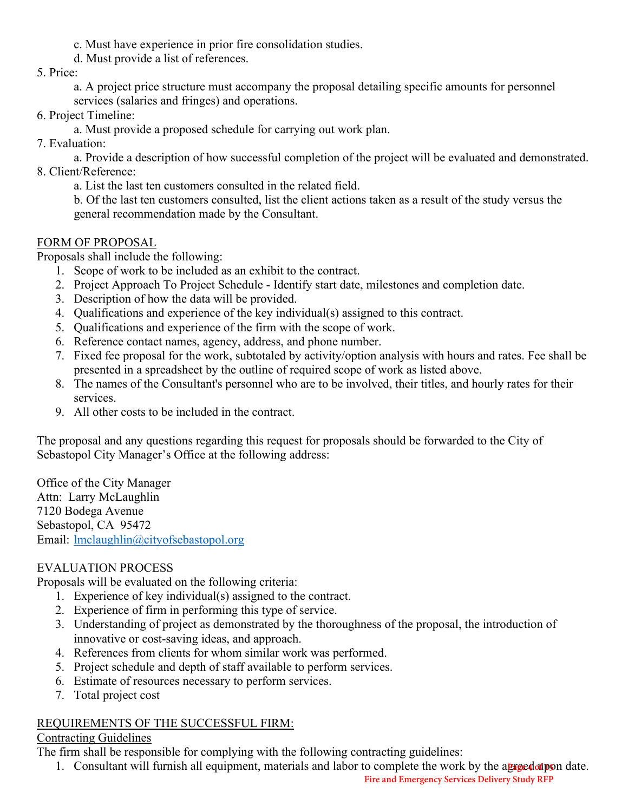- c. Must have experience in prior fire consolidation studies.
- d. Must provide a list of references.
- 5. Price:

a. A project price structure must accompany the proposal detailing specific amounts for personnel services (salaries and fringes) and operations.

6. Project Timeline:

a. Must provide a proposed schedule for carrying out work plan.

7. Evaluation:

a. Provide a description of how successful completion of the project will be evaluated and demonstrated. 8. Client/Reference:

a. List the last ten customers consulted in the related field.

b. Of the last ten customers consulted, list the client actions taken as a result of the study versus the general recommendation made by the Consultant.

## FORM OF PROPOSAL

Proposals shall include the following:

- 1. Scope of work to be included as an exhibit to the contract.
- 2. Project Approach To Project Schedule Identify start date, milestones and completion date.
- 3. Description of how the data will be provided.
- 4. Qualifications and experience of the key individual(s) assigned to this contract.
- 5. Qualifications and experience of the firm with the scope of work.
- 6. Reference contact names, agency, address, and phone number.
- 7. Fixed fee proposal for the work, subtotaled by activity/option analysis with hours and rates. Fee shall be presented in a spreadsheet by the outline of required scope of work as listed above.
- 8. The names of the Consultant's personnel who are to be involved, their titles, and hourly rates for their services.
- 9. All other costs to be included in the contract.

The proposal and any questions regarding this request for proposals should be forwarded to the City of Sebastopol City Manager's Office at the following address:

Office of the City Manager Attn: Larry McLaughlin 7120 Bodega Avenue Sebastopol, CA 95472 Email: [lmclaughlin@cityofsebastopol.org](mailto:lmclaughlin@cityofsebastopol.org)

# EVALUATION PROCESS

Proposals will be evaluated on the following criteria:

- 1. Experience of key individual(s) assigned to the contract.
- 2. Experience of firm in performing this type of service.
- 3. Understanding of project as demonstrated by the thoroughness of the proposal, the introduction of innovative or cost-saving ideas, and approach.
- 4. References from clients for whom similar work was performed.
- 5. Project schedule and depth of staff available to perform services.
- 6. Estimate of resources necessary to perform services.
- 7. Total project cost

# REQUIREMENTS OF THE SUCCESSFUL FIRM:

#### Contracting Guidelines

The firm shall be responsible for complying with the following contracting guidelines:

1. Consultant will furnish all equipment, materials and labor to complete the work by the agreed upon date.

**Fire and Emergency Services Delivery Study RFP**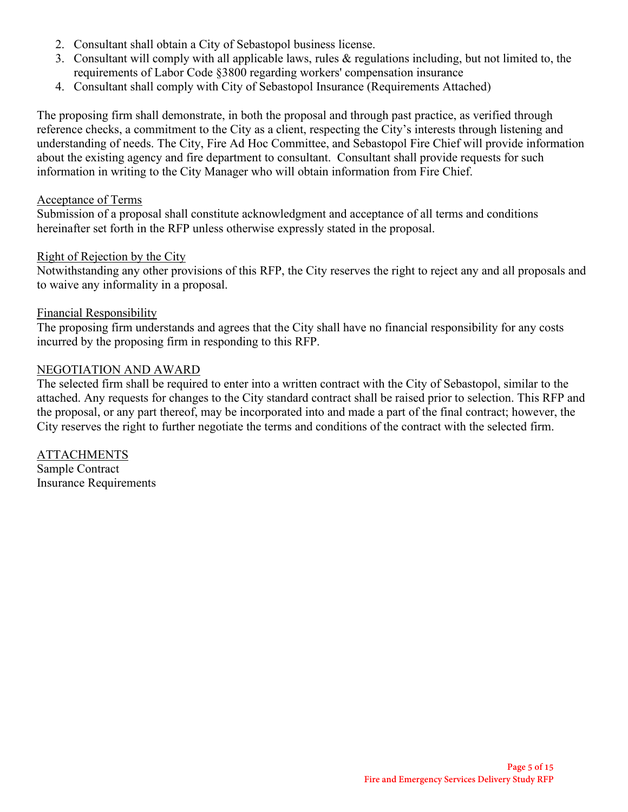- 2. Consultant shall obtain a City of Sebastopol business license.
- 3. Consultant will comply with all applicable laws, rules & regulations including, but not limited to, the requirements of Labor Code §3800 regarding workers' compensation insurance
- 4. Consultant shall comply with City of Sebastopol Insurance (Requirements Attached)

The proposing firm shall demonstrate, in both the proposal and through past practice, as verified through reference checks, a commitment to the City as a client, respecting the City's interests through listening and understanding of needs. The City, Fire Ad Hoc Committee, and Sebastopol Fire Chief will provide information about the existing agency and fire department to consultant. Consultant shall provide requests for such information in writing to the City Manager who will obtain information from Fire Chief.

#### Acceptance of Terms

Submission of a proposal shall constitute acknowledgment and acceptance of all terms and conditions hereinafter set forth in the RFP unless otherwise expressly stated in the proposal.

#### Right of Rejection by the City

Notwithstanding any other provisions of this RFP, the City reserves the right to reject any and all proposals and to waive any informality in a proposal.

#### Financial Responsibility

The proposing firm understands and agrees that the City shall have no financial responsibility for any costs incurred by the proposing firm in responding to this RFP.

#### NEGOTIATION AND AWARD

The selected firm shall be required to enter into a written contract with the City of Sebastopol, similar to the attached. Any requests for changes to the City standard contract shall be raised prior to selection. This RFP and the proposal, or any part thereof, may be incorporated into and made a part of the final contract; however, the City reserves the right to further negotiate the terms and conditions of the contract with the selected firm.

ATTACHMENTS Sample Contract Insurance Requirements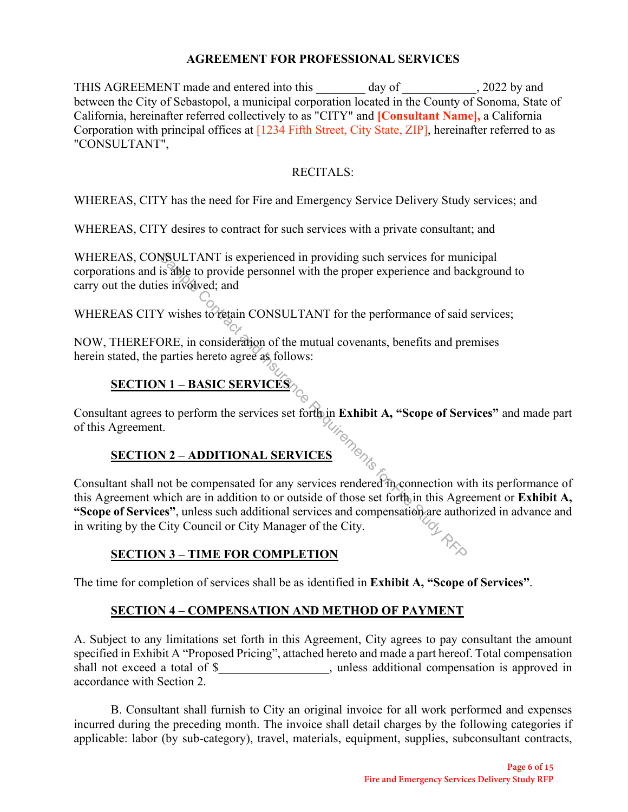#### **AGREEMENT FOR PROFESSIONAL SERVICES**

THIS AGREEMENT made and entered into this \_\_\_\_\_\_\_ day of \_\_\_\_\_\_\_\_\_\_\_, 2022 by and between the City of Sebastopol, a municipal corporation located in the County of Sonoma, State of California, hereinafter referred collectively to as "CITY" and **[Consultant Name],** a California Corporation with principal offices at [1234 Fifth Street, City State, ZIP], hereinafter referred to as "CONSULTANT",

### RECITALS:

WHEREAS, CITY has the need for Fire and Emergency Service Delivery Study services; and

WHEREAS, CITY desires to contract for such services with a private consultant; and

WHEREAS, CONSULTANT is experienced in providing such services for municipal corporations and is able to provide personnel with the proper experience and background to carry out the duties involved; and

WHEREAS CITY wishes to retain CONSULTANT for the performance of said services;

NOW, THEREFORE, in consideration of the mutual covenants, benefits and premises herein stated, the parties hereto agree as follows:

# **SECTION 1 – BASIC SERVICES**

Consultant agrees to perform the services set forth in **Exhibit A, "Scope of Services"** and made part of this Agreement.

# **SECTION 2 – ADDITIONAL SERVICES**

Consultant shall not be compensated for any services rendered in connection with its performance of this Agreement which are in addition to or outside of those set forth in this Agreement or **Exhibit A, "Scope of Services"**, unless such additional services and compensation are authorized in advance and in writing by the City Council or City Manager of the City. NSULTANT is experienced in providing such services for mun<br>is able to provide personnel with the proper experience and bac<br>se involved; and<br>V wishes to reation CONSULTANT for the performance of said<br>ORE, in consideration

#### **SECTION 3 – TIME FOR COMPLETION**

The time for completion of services shall be as identified in **Exhibit A, "Scope of Services"**.

# **SECTION 4 – COMPENSATION AND METHOD OF PAYMENT**

A. Subject to any limitations set forth in this Agreement, City agrees to pay consultant the amount specified in Exhibit A "Proposed Pricing", attached hereto and made a part hereof. Total compensation shall not exceed a total of \$\_\_\_\_\_\_\_\_\_\_\_\_\_\_\_\_, unless additional compensation is approved in accordance with Section 2.

B. Consultant shall furnish to City an original invoice for all work performed and expenses incurred during the preceding month. The invoice shall detail charges by the following categories if applicable: labor (by sub-category), travel, materials, equipment, supplies, subconsultant contracts,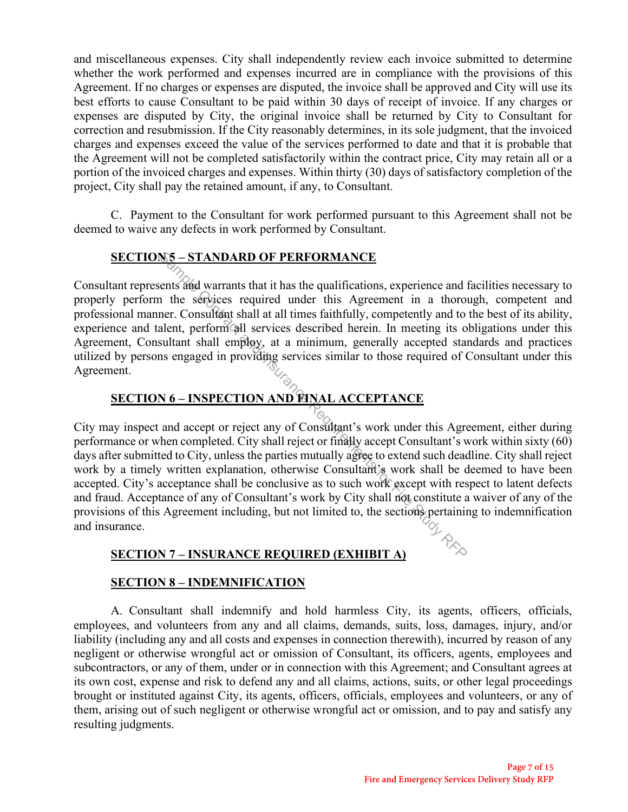and miscellaneous expenses. City shall independently review each invoice submitted to determine whether the work performed and expenses incurred are in compliance with the provisions of this Agreement. If no charges or expenses are disputed, the invoice shall be approved and City will use its best efforts to cause Consultant to be paid within 30 days of receipt of invoice. If any charges or expenses are disputed by City, the original invoice shall be returned by City to Consultant for correction and resubmission. If the City reasonably determines, in its sole judgment, that the invoiced charges and expenses exceed the value of the services performed to date and that it is probable that the Agreement will not be completed satisfactorily within the contract price, City may retain all or a portion of the invoiced charges and expenses. Within thirty (30) days of satisfactory completion of the project, City shall pay the retained amount, if any, to Consultant.

C. Payment to the Consultant for work performed pursuant to this Agreement shall not be deemed to waive any defects in work performed by Consultant.

# **SECTION 5 – STANDARD OF PERFORMANCE**

Consultant represents and warrants that it has the qualifications, experience and facilities necessary to properly perform the services required under this Agreement in a thorough, competent and professional manner. Consultant shall at all times faithfully, competently and to the best of its ability, experience and talent, perform all services described herein. In meeting its obligations under this Agreement, Consultant shall employ, at a minimum, generally accepted standards and practices utilized by persons engaged in providing services similar to those required of Consultant under this Agreement.

# **SECTION 6 – INSPECTION AND FINAL ACCEPTANCE**

City may inspect and accept or reject any of Consultant's work under this Agreement, either during performance or when completed. City shall reject or finally accept Consultant's work within sixty (60) days after submitted to City, unless the parties mutually agree to extend such deadline. City shall reject work by a timely written explanation, otherwise Consultant's work shall be deemed to have been accepted. City's acceptance shall be conclusive as to such work except with respect to latent defects and fraud. Acceptance of any of Consultant's work by City shall not constitute a waiver of any of the provisions of this Agreement including, but not limited to, the sections pertaining to indemnification and insurance. **SAMPLE CONTEXT AND OF PERFORMANCE**<br>
The services required under this Agreement in a thorouse and the services required under this Agreement in a thorouse allem, perform call at all times faithfully, competently and to te

# **SECTION 7 – INSURANCE REQUIRED (EXHIBIT A)**

#### **SECTION 8 – INDEMNIFICATION**

A. Consultant shall indemnify and hold harmless City, its agents, officers, officials, employees, and volunteers from any and all claims, demands, suits, loss, damages, injury, and/or liability (including any and all costs and expenses in connection therewith), incurred by reason of any negligent or otherwise wrongful act or omission of Consultant, its officers, agents, employees and subcontractors, or any of them, under or in connection with this Agreement; and Consultant agrees at its own cost, expense and risk to defend any and all claims, actions, suits, or other legal proceedings brought or instituted against City, its agents, officers, officials, employees and volunteers, or any of them, arising out of such negligent or otherwise wrongful act or omission, and to pay and satisfy any resulting judgments.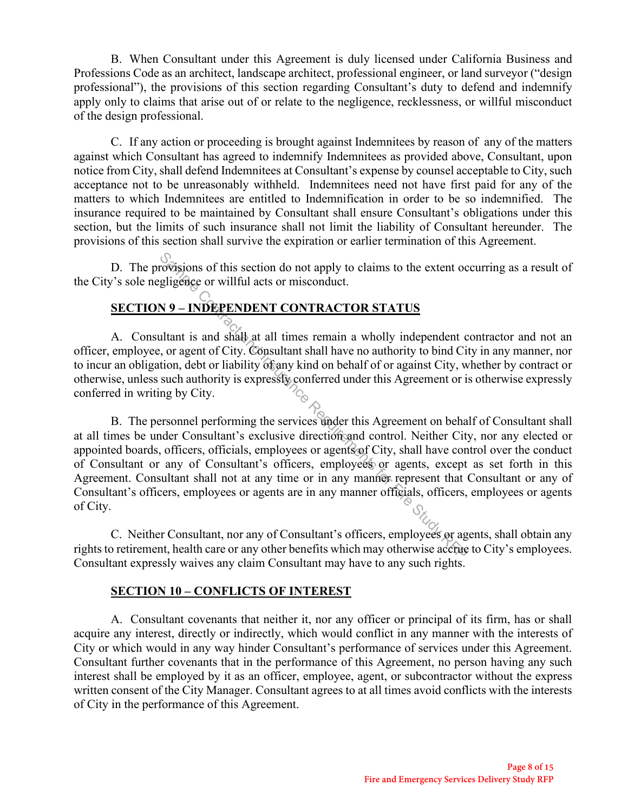B. When Consultant under this Agreement is duly licensed under California Business and Professions Code as an architect, landscape architect, professional engineer, or land surveyor ("design professional"), the provisions of this section regarding Consultant's duty to defend and indemnify apply only to claims that arise out of or relate to the negligence, recklessness, or willful misconduct of the design professional.

C. If any action or proceeding is brought against Indemnitees by reason of any of the matters against which Consultant has agreed to indemnify Indemnitees as provided above, Consultant, upon notice from City, shall defend Indemnitees at Consultant's expense by counsel acceptable to City, such acceptance not to be unreasonably withheld. Indemnitees need not have first paid for any of the matters to which Indemnitees are entitled to Indemnification in order to be so indemnified. The insurance required to be maintained by Consultant shall ensure Consultant's obligations under this section, but the limits of such insurance shall not limit the liability of Consultant hereunder. The provisions of this section shall survive the expiration or earlier termination of this Agreement.

D. The provisions of this section do not apply to claims to the extent occurring as a result of the City's sole negligence or willful acts or misconduct.

# **SECTION 9 – INDEPENDENT CONTRACTOR STATUS**

A. Consultant is and shall at all times remain a wholly independent contractor and not an officer, employee, or agent of City. Consultant shall have no authority to bind City in any manner, nor to incur an obligation, debt or liability of any kind on behalf of or against City, whether by contract or otherwise, unless such authority is expressly conferred under this Agreement or is otherwise expressly conferred in writing by City.

 B. The personnel performing the services under this Agreement on behalf of Consultant shall at all times be under Consultant's exclusive direction and control. Neither City, nor any elected or appointed boards, officers, officials, employees or agents of City, shall have control over the conduct of Consultant or any of Consultant's officers, employees or agents, except as set forth in this Agreement. Consultant shall not at any time or in any manner represent that Consultant or any of Consultant's officers, employees or agents are in any manner officials, officers, employees or agents of City. Says of this section do not apply to claims to the extent ocelligence or willful acts or misconduct.<br>
N 9 – INDEPENDENT CONTRACTOR STATUS<br>
lltant is and shall at all times remain a wholly independent control of the study

C. Neither Consultant, nor any of Consultant's officers, employees or agents, shall obtain any rights to retirement, health care or any other benefits which may otherwise accrue to City's employees. Consultant expressly waives any claim Consultant may have to any such rights.

#### **SECTION 10 – CONFLICTS OF INTEREST**

A. Consultant covenants that neither it, nor any officer or principal of its firm, has or shall acquire any interest, directly or indirectly, which would conflict in any manner with the interests of City or which would in any way hinder Consultant's performance of services under this Agreement. Consultant further covenants that in the performance of this Agreement, no person having any such interest shall be employed by it as an officer, employee, agent, or subcontractor without the express written consent of the City Manager. Consultant agrees to at all times avoid conflicts with the interests of City in the performance of this Agreement.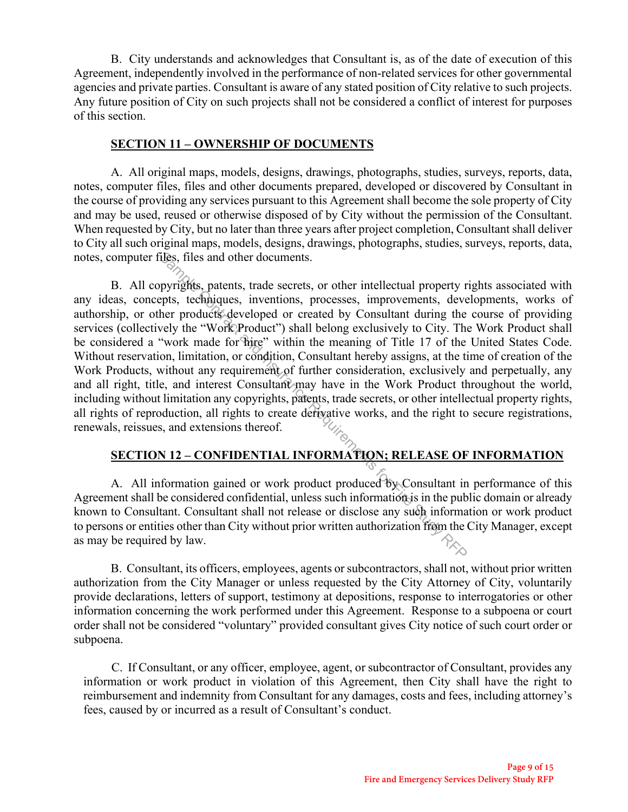B. City understands and acknowledges that Consultant is, as of the date of execution of this Agreement, independently involved in the performance of non-related services for other governmental agencies and private parties. Consultant is aware of any stated position of City relative to such projects. Any future position of City on such projects shall not be considered a conflict of interest for purposes of this section.

#### **SECTION 11 – OWNERSHIP OF DOCUMENTS**

 A. All original maps, models, designs, drawings, photographs, studies, surveys, reports, data, notes, computer files, files and other documents prepared, developed or discovered by Consultant in the course of providing any services pursuant to this Agreement shall become the sole property of City and may be used, reused or otherwise disposed of by City without the permission of the Consultant. When requested by City, but no later than three years after project completion, Consultant shall deliver to City all such original maps, models, designs, drawings, photographs, studies, surveys, reports, data, notes, computer files, files and other documents.

B. All copyrights, patents, trade secrets, or other intellectual property rights associated with any ideas, concepts, techniques, inventions, processes, improvements, developments, works of authorship, or other products developed or created by Consultant during the course of providing services (collectively the "Work Product") shall belong exclusively to City. The Work Product shall be considered a "work made for hire" within the meaning of Title 17 of the United States Code. Without reservation, limitation, or condition, Consultant hereby assigns, at the time of creation of the Work Products, without any requirement of further consideration, exclusively and perpetually, any and all right, title, and interest Consultant may have in the Work Product throughout the world, including without limitation any copyrights, patents, trade secrets, or other intellectual property rights, all rights of reproduction, all rights to create derivative works, and the right to secure registrations, renewals, reissues, and extensions thereof. These the product and other documents.<br>
Section of the intellectual property rights, techniques, invalues the report of the product successes, improvements, developed or created by Consultant during the evely the "Work Pr

# **SECTION 12 – CONFIDENTIAL INFORMATION; RELEASE OF INFORMATION**

A. All information gained or work product produced by Consultant in performance of this Agreement shall be considered confidential, unless such information is in the public domain or already known to Consultant. Consultant shall not release or disclose any such information or work product to persons or entities other than City without prior written authorization from the City Manager, except as may be required by law.

B. Consultant, its officers, employees, agents or subcontractors, shall not, without prior written authorization from the City Manager or unless requested by the City Attorney of City, voluntarily provide declarations, letters of support, testimony at depositions, response to interrogatories or other information concerning the work performed under this Agreement. Response to a subpoena or court order shall not be considered "voluntary" provided consultant gives City notice of such court order or subpoena.

C. If Consultant, or any officer, employee, agent, or subcontractor of Consultant, provides any information or work product in violation of this Agreement, then City shall have the right to reimbursement and indemnity from Consultant for any damages, costs and fees, including attorney's fees, caused by or incurred as a result of Consultant's conduct.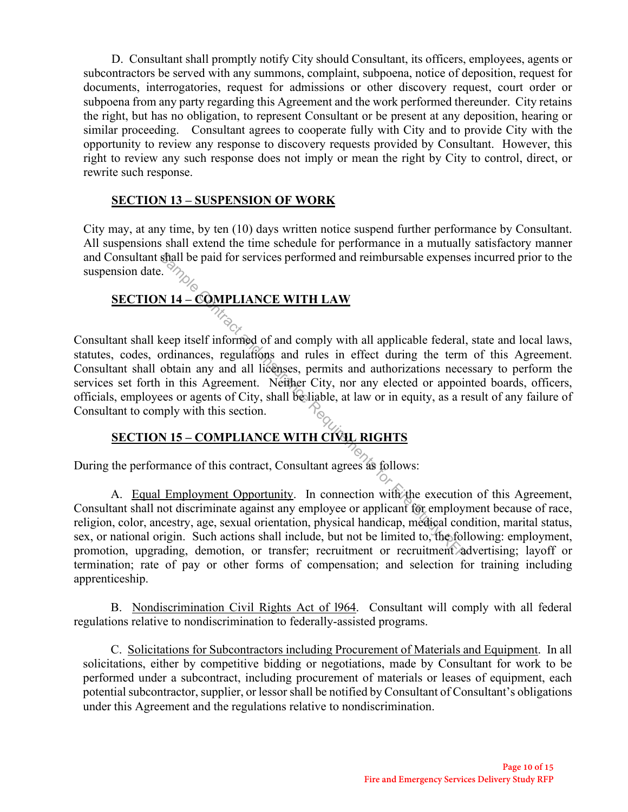D. Consultant shall promptly notify City should Consultant, its officers, employees, agents or subcontractors be served with any summons, complaint, subpoena, notice of deposition, request for documents, interrogatories, request for admissions or other discovery request, court order or subpoena from any party regarding this Agreement and the work performed thereunder. City retains the right, but has no obligation, to represent Consultant or be present at any deposition, hearing or similar proceeding. Consultant agrees to cooperate fully with City and to provide City with the opportunity to review any response to discovery requests provided by Consultant. However, this right to review any such response does not imply or mean the right by City to control, direct, or rewrite such response.

#### **SECTION 13 – SUSPENSION OF WORK**

City may, at any time, by ten (10) days written notice suspend further performance by Consultant. All suspensions shall extend the time schedule for performance in a mutually satisfactory manner and Consultant shall be paid for services performed and reimbursable expenses incurred prior to the suspension date.

# **SECTION 14 – COMPLIANCE WITH LAW**

Consultant shall keep itself informed of and comply with all applicable federal, state and local laws, statutes, codes, ordinances, regulations and rules in effect during the term of this Agreement. Consultant shall obtain any and all licenses, permits and authorizations necessary to perform the services set forth in this Agreement. Neither City, nor any elected or appointed boards, officers, officials, employees or agents of City, shall be liable, at law or in equity, as a result of any failure of Consultant to comply with this section. Shall be paid for services performed and reimbursable expenses<br>
Sample Contract Contract Contract Article Contract and Contract and Section 114 – COMPLIANCE WITH LAW<br>
Reep itself informed of and comply with all applicable

#### **SECTION 15 – COMPLIANCE WITH CIVIL RIGHTS**

During the performance of this contract, Consultant agrees as follows:

A. Equal Employment Opportunity. In connection with the execution of this Agreement, Consultant shall not discriminate against any employee or applicant for employment because of race, religion, color, ancestry, age, sexual orientation, physical handicap, medical condition, marital status, sex, or national origin. Such actions shall include, but not be limited to, the following: employment, promotion, upgrading, demotion, or transfer; recruitment or recruitment advertising; layoff or termination; rate of pay or other forms of compensation; and selection for training including apprenticeship.

B. Nondiscrimination Civil Rights Act of l964. Consultant will comply with all federal regulations relative to nondiscrimination to federally-assisted programs.

C. Solicitations for Subcontractors including Procurement of Materials and Equipment. In all solicitations, either by competitive bidding or negotiations, made by Consultant for work to be performed under a subcontract, including procurement of materials or leases of equipment, each potential subcontractor, supplier, or lessor shall be notified by Consultant of Consultant's obligations under this Agreement and the regulations relative to nondiscrimination.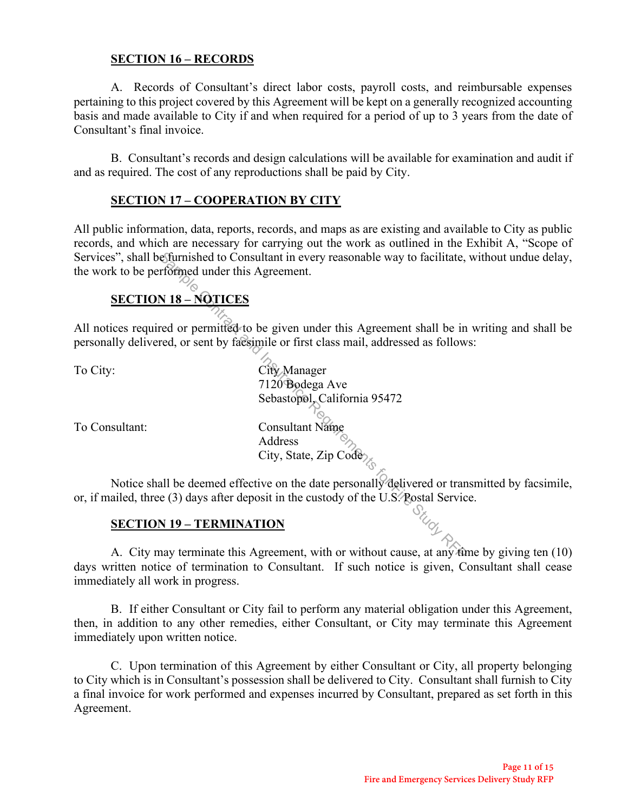#### **SECTION 16 – RECORDS**

A. Records of Consultant's direct labor costs, payroll costs, and reimbursable expenses pertaining to this project covered by this Agreement will be kept on a generally recognized accounting basis and made available to City if and when required for a period of up to 3 years from the date of Consultant's final invoice.

 B. Consultant's records and design calculations will be available for examination and audit if and as required. The cost of any reproductions shall be paid by City.

#### **SECTION 17 – COOPERATION BY CITY**

All public information, data, reports, records, and maps as are existing and available to City as public records, and which are necessary for carrying out the work as outlined in the Exhibit A, "Scope of Services", shall be furnished to Consultant in every reasonable way to facilitate, without undue delay, the work to be performed under this Agreement.

# **SECTION 18 – NOTICES**

All notices required or permitted to be given under this Agreement shall be in writing and shall be personally delivered, or sent by facsimile or first class mail, addressed as follows:

To City: City Manager 7120 Bodega Ave Sebastopol, California 95472 To Consultant: Consultant Name Address Efurnished to Consultant in every reasonable way to facilitate, reformed under this Agreement.<br>  $\overrightarrow{M318 - \overrightarrow{M211CES}}$ <br>
red or permitted to be given under this Agreement shall be in<br>
red, or sent by factosimile or first c

Notice shall be deemed effective on the date personally delivered or transmitted by facsimile, or, if mailed, three (3) days after deposit in the custody of the U.S. Postal Service.

City, State, Zip Code

#### **SECTION 19 – TERMINATION**

A. City may terminate this Agreement, with or without cause, at any time by giving ten (10) days written notice of termination to Consultant. If such notice is given, Consultant shall cease immediately all work in progress.

B. If either Consultant or City fail to perform any material obligation under this Agreement, then, in addition to any other remedies, either Consultant, or City may terminate this Agreement immediately upon written notice.

C. Upon termination of this Agreement by either Consultant or City, all property belonging to City which is in Consultant's possession shall be delivered to City. Consultant shall furnish to City a final invoice for work performed and expenses incurred by Consultant, prepared as set forth in this Agreement.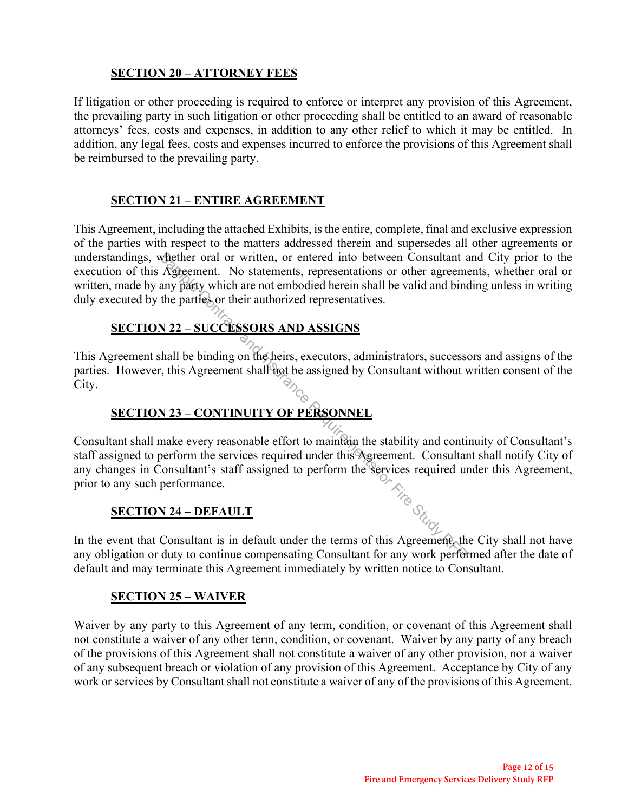## **SECTION 20 – ATTORNEY FEES**

If litigation or other proceeding is required to enforce or interpret any provision of this Agreement, the prevailing party in such litigation or other proceeding shall be entitled to an award of reasonable attorneys' fees, costs and expenses, in addition to any other relief to which it may be entitled. In addition, any legal fees, costs and expenses incurred to enforce the provisions of this Agreement shall be reimbursed to the prevailing party.

#### **SECTION 21 – ENTIRE AGREEMENT**

This Agreement, including the attached Exhibits, is the entire, complete, final and exclusive expression of the parties with respect to the matters addressed therein and supersedes all other agreements or understandings, whether oral or written, or entered into between Consultant and City prior to the execution of this Agreement. No statements, representations or other agreements, whether oral or written, made by any party which are not embodied herein shall be valid and binding unless in writing duly executed by the parties or their authorized representatives.

#### **SECTION 22 – SUCCESSORS AND ASSIGNS**

This Agreement shall be binding on the heirs, executors, administrators, successors and assigns of the parties. However, this Agreement shall not be assigned by Consultant without written consent of the City.

# **SECTION 23 – CONTINUITY OF PERSONNEL**

Consultant shall make every reasonable effort to maintain the stability and continuity of Consultant's staff assigned to perform the services required under this Agreement. Consultant shall notify City of any changes in Consultant's staff assigned to perform the services required under this Agreement, prior to any such performance. prior to any such performance. Whether oral or written, or entered into between Consultant a<br>
Agreement. No statements, representations or other agreement<br>
any party which are not embodied herein shall be valid and bind<br>
the partics or their authorized

#### **SECTION 24 – DEFAULT**

In the event that Consultant is in default under the terms of this Agreement, the City shall not have any obligation or duty to continue compensating Consultant for any work performed after the date of default and may terminate this Agreement immediately by written notice to Consultant.

#### **SECTION 25 – WAIVER**

Waiver by any party to this Agreement of any term, condition, or covenant of this Agreement shall not constitute a waiver of any other term, condition, or covenant. Waiver by any party of any breach of the provisions of this Agreement shall not constitute a waiver of any other provision, nor a waiver of any subsequent breach or violation of any provision of this Agreement. Acceptance by City of any work or services by Consultant shall not constitute a waiver of any of the provisions of this Agreement.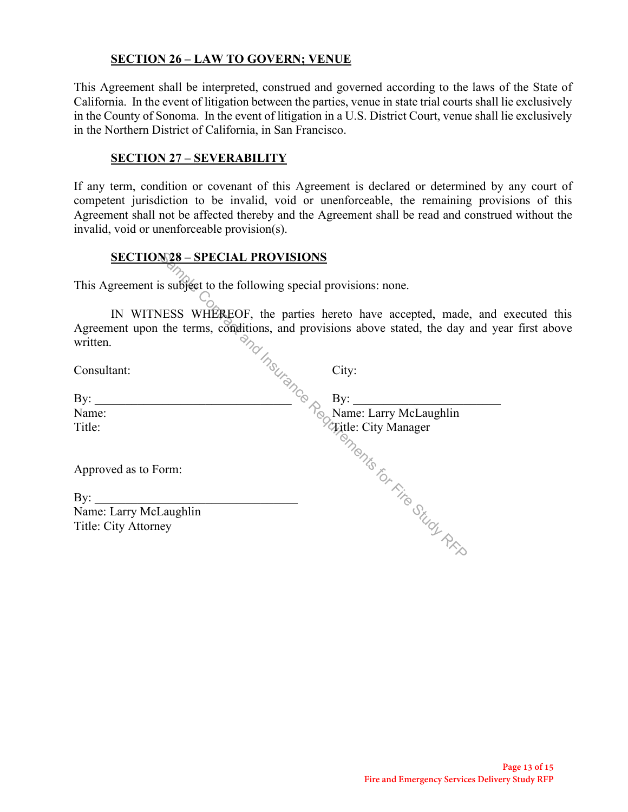## **SECTION 26 – LAW TO GOVERN; VENUE**

This Agreement shall be interpreted, construed and governed according to the laws of the State of California. In the event of litigation between the parties, venue in state trial courts shall lie exclusively in the County of Sonoma. In the event of litigation in a U.S. District Court, venue shall lie exclusively in the Northern District of California, in San Francisco.

#### **SECTION 27 – SEVERABILITY**

If any term, condition or covenant of this Agreement is declared or determined by any court of competent jurisdiction to be invalid, void or unenforceable, the remaining provisions of this Agreement shall not be affected thereby and the Agreement shall be read and construed without the invalid, void or unenforceable provision(s).

#### **SECTION 28 – SPECIAL PROVISIONS**

This Agreement is subject to the following special provisions: none.

IN WITNESS WHEREOF, the parties hereto have accepted, made, and executed this Agreement upon the terms, conditions, and provisions above stated, the day and year first above written.  $\frac{8.28 - \text{SPECTAL PROVISIONS}}{2}$ <br>
s subject to the following special provisions: none.<br>
IESS WHEREOF, the parties hereto have accepted, made,<br>
the terms, conditions, and provisions above stated, the day<br>  $\frac{1}{2}$ <br>
City:<br>  $\frac{1}{2}$ 

 $\text{Constant:}$  City:

By: \_\_\_\_\_\_\_\_\_\_\_\_\_\_\_\_\_\_\_\_\_\_\_\_\_\_\_\_\_\_\_\_ By: \_\_\_\_\_\_\_\_\_\_\_\_\_\_\_\_\_\_\_\_\_\_\_\_

Name:  $N_{\odot}$  Name: Larry McLaughlin

Approved as to Form:

| By:                    |  |
|------------------------|--|
| Name: Larry McLaughlin |  |
| Title: City Attorney   |  |

Title: Title: Title: City Manager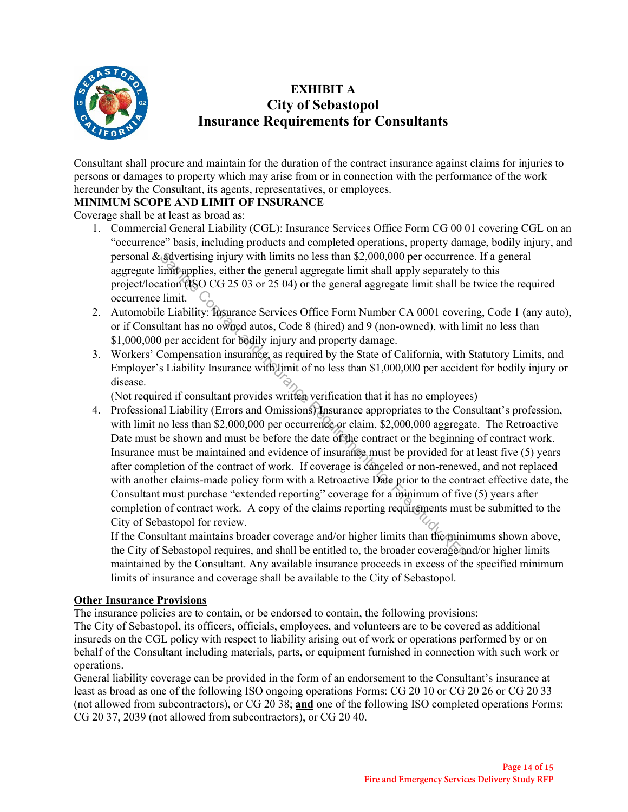

# **EXHIBIT A City of Sebastopol Insurance Requirements for Consultants**

Consultant shall procure and maintain for the duration of the contract insurance against claims for injuries to persons or damages to property which may arise from or in connection with the performance of the work hereunder by the Consultant, its agents, representatives, or employees.

#### **MINIMUM SCOPE AND LIMIT OF INSURANCE**

Coverage shall be at least as broad as:

- 1. Commercial General Liability (CGL): Insurance Services Office Form CG 00 01 covering CGL on an "occurrence" basis, including products and completed operations, property damage, bodily injury, and personal  $\&$  advertising injury with limits no less than \$2,000,000 per occurrence. If a general aggregate limit applies, either the general aggregate limit shall apply separately to this project/location (ISO CG 25 03 or 25 04) or the general aggregate limit shall be twice the required occurrence limit.  $\mathbb{C}_{\cap}$
- 2. Automobile Liability: Insurance Services Office Form Number CA 0001 covering, Code 1 (any auto), or if Consultant has no owned autos, Code 8 (hired) and 9 (non-owned), with limit no less than \$1,000,000 per accident for bodily injury and property damage.
- 3. Workers' Compensation insurance, as required by the State of California, with Statutory Limits, and Employer's Liability Insurance with limit of no less than \$1,000,000 per accident for bodily injury or disease.

(Not required if consultant provides written verification that it has no employees)

4. Professional Liability (Errors and Omissions) Insurance appropriates to the Consultant's profession, with limit no less than \$2,000,000 per occurrence or claim, \$2,000,000 aggregate. The Retroactive Date must be shown and must be before the date of the contract or the beginning of contract work. Insurance must be maintained and evidence of insurance must be provided for at least five (5) years after completion of the contract of work. If coverage is canceled or non-renewed, and not replaced with another claims-made policy form with a Retroactive Date prior to the contract effective date, the Consultant must purchase "extended reporting" coverage for a minimum of five (5) years after completion of contract work. A copy of the claims reporting requirements must be submitted to the City of Sebastopol for review. All stretting in the set of the means of the set than \$2,000,000 per occurrence in the limit spelies, either the general aggregate limit shall apply separately ation (ISO CG 25 03 or 25 04) or the general aggregate limit

If the Consultant maintains broader coverage and/or higher limits than the minimums shown above, the City of Sebastopol requires, and shall be entitled to, the broader coverage and/or higher limits maintained by the Consultant. Any available insurance proceeds in excess of the specified minimum limits of insurance and coverage shall be available to the City of Sebastopol.

#### **Other Insurance Provisions**

The insurance policies are to contain, or be endorsed to contain, the following provisions:

The City of Sebastopol, its officers, officials, employees, and volunteers are to be covered as additional insureds on the CGL policy with respect to liability arising out of work or operations performed by or on behalf of the Consultant including materials, parts, or equipment furnished in connection with such work or operations.

General liability coverage can be provided in the form of an endorsement to the Consultant's insurance at least as broad as one of the following ISO ongoing operations Forms: CG 20 10 or CG 20 26 or CG 20 33 (not allowed from subcontractors), or CG 20 38; **and** one of the following ISO completed operations Forms: CG 20 37, 2039 (not allowed from subcontractors), or CG 20 40.